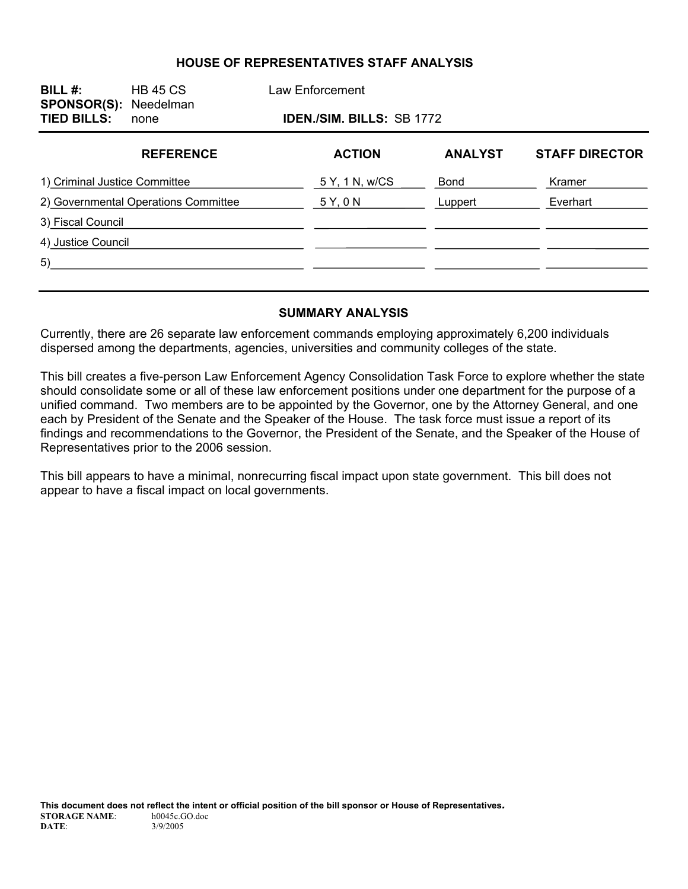#### **HOUSE OF REPRESENTATIVES STAFF ANALYSIS**

| BILL#:<br><b>SPONSOR(S): Needelman</b><br><b>TIED BILLS:</b> | <b>HB 45 CS</b><br>none |                | Law Enforcement<br><b>IDEN./SIM. BILLS: SB 1772</b> |                |                       |  |  |
|--------------------------------------------------------------|-------------------------|----------------|-----------------------------------------------------|----------------|-----------------------|--|--|
|                                                              | <b>REFERENCE</b>        |                | <b>ACTION</b>                                       | <b>ANALYST</b> | <b>STAFF DIRECTOR</b> |  |  |
| 1) Criminal Justice Committee                                |                         | 5 Y, 1 N, w/CS | <b>Bond</b>                                         | Kramer         |                       |  |  |
| 2) Governmental Operations Committee                         |                         | 5Y,0N          | Luppert                                             | Everhart       |                       |  |  |
| 3) Fiscal Council                                            |                         |                |                                                     |                |                       |  |  |
| 4) Justice Council                                           |                         |                |                                                     |                |                       |  |  |
| 5)                                                           |                         |                |                                                     |                |                       |  |  |
|                                                              |                         |                |                                                     |                |                       |  |  |

#### **SUMMARY ANALYSIS**

Currently, there are 26 separate law enforcement commands employing approximately 6,200 individuals dispersed among the departments, agencies, universities and community colleges of the state.

This bill creates a five-person Law Enforcement Agency Consolidation Task Force to explore whether the state should consolidate some or all of these law enforcement positions under one department for the purpose of a unified command. Two members are to be appointed by the Governor, one by the Attorney General, and one each by President of the Senate and the Speaker of the House. The task force must issue a report of its findings and recommendations to the Governor, the President of the Senate, and the Speaker of the House of Representatives prior to the 2006 session.

This bill appears to have a minimal, nonrecurring fiscal impact upon state government. This bill does not appear to have a fiscal impact on local governments.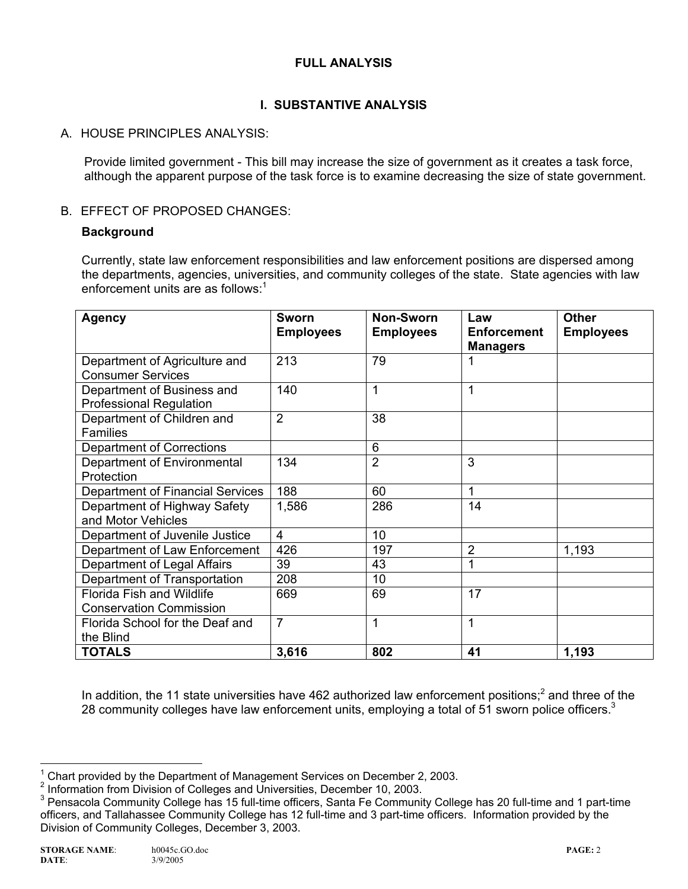## **FULL ANALYSIS**

# **I. SUBSTANTIVE ANALYSIS**

## A. HOUSE PRINCIPLES ANALYSIS:

Provide limited government - This bill may increase the size of government as it creates a task force, although the apparent purpose of the task force is to examine decreasing the size of state government.

#### B. EFFECT OF PROPOSED CHANGES:

#### **Background**

Currently, state law enforcement responsibilities and law enforcement positions are dispersed among the departments, agencies, universities, and community colleges of the state. State agencies with law enforcement units are as follows: $1$ 

| <b>Agency</b>                                                      | Sworn<br><b>Employees</b> | <b>Non-Sworn</b><br><b>Employees</b> | Law<br><b>Enforcement</b><br><b>Managers</b> | <b>Other</b><br><b>Employees</b> |
|--------------------------------------------------------------------|---------------------------|--------------------------------------|----------------------------------------------|----------------------------------|
| Department of Agriculture and<br><b>Consumer Services</b>          | 213                       | 79                                   |                                              |                                  |
| Department of Business and<br><b>Professional Regulation</b>       | 140                       | 1                                    |                                              |                                  |
| Department of Children and<br><b>Families</b>                      | $\overline{2}$            | 38                                   |                                              |                                  |
| Department of Corrections                                          |                           | 6                                    |                                              |                                  |
| Department of Environmental<br>Protection                          | 134                       | $\overline{2}$                       | 3                                            |                                  |
| Department of Financial Services                                   | 188                       | 60                                   | 1                                            |                                  |
| Department of Highway Safety<br>and Motor Vehicles                 | 1,586                     | 286                                  | 14                                           |                                  |
| Department of Juvenile Justice                                     | $\overline{4}$            | 10                                   |                                              |                                  |
| Department of Law Enforcement                                      | 426                       | 197                                  | 2                                            | 1,193                            |
| Department of Legal Affairs                                        | 39                        | 43                                   |                                              |                                  |
| Department of Transportation                                       | 208                       | 10                                   |                                              |                                  |
| <b>Florida Fish and Wildlife</b><br><b>Conservation Commission</b> | 669                       | 69                                   | 17                                           |                                  |
| Florida School for the Deaf and<br>the Blind                       | $\overline{7}$            | 1                                    | 1                                            |                                  |
| <b>TOTALS</b>                                                      | 3,616                     | 802                                  | 41                                           | 1,193                            |

In addition, the 11 state universities have 462 authorized law enforcement positions;<sup>2</sup> and three of the 28 community colleges have law enforcement units, employing a total of 51 sworn police officers. $3$ 

THE TREAD TREAD TREAD TREAD TREAD TREAD TREAD TREAD TREAD TREAD TREAD TREAD TREAD TREAD TREAD TREAD TREAD TREA<br>The December 2, 2003.

<sup>&</sup>lt;sup>2</sup> Information from Division of Colleges and Universities, December 10, 2003.

<sup>&</sup>lt;sup>3</sup> Pensacola Community College has 15 full-time officers, Santa Fe Community College has 20 full-time and 1 part-time officers, and Tallahassee Community College has 12 full-time and 3 part-time officers. Information provided by the Division of Community Colleges, December 3, 2003.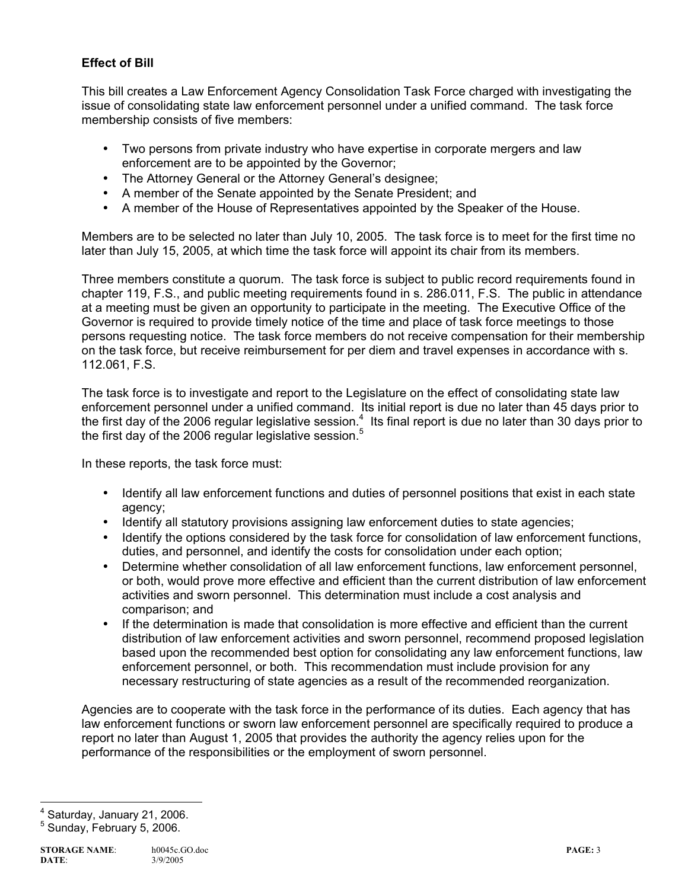## **Effect of Bill**

This bill creates a Law Enforcement Agency Consolidation Task Force charged with investigating the issue of consolidating state law enforcement personnel under a unified command. The task force membership consists of five members:

- Two persons from private industry who have expertise in corporate mergers and law enforcement are to be appointed by the Governor;
- The Attorney General or the Attorney General's designee;
- A member of the Senate appointed by the Senate President; and
- A member of the House of Representatives appointed by the Speaker of the House.

Members are to be selected no later than July 10, 2005. The task force is to meet for the first time no later than July 15, 2005, at which time the task force will appoint its chair from its members.

Three members constitute a quorum. The task force is subject to public record requirements found in chapter 119, F.S., and public meeting requirements found in s. 286.011, F.S. The public in attendance at a meeting must be given an opportunity to participate in the meeting. The Executive Office of the Governor is required to provide timely notice of the time and place of task force meetings to those persons requesting notice. The task force members do not receive compensation for their membership on the task force, but receive reimbursement for per diem and travel expenses in accordance with s. 112.061, F.S.

The task force is to investigate and report to the Legislature on the effect of consolidating state law enforcement personnel under a unified command. Its initial report is due no later than 45 days prior to the first day of the 2006 regular legislative session.<sup>4</sup> Its final report is due no later than 30 days prior to the first day of the 2006 regular legislative session.<sup>5</sup>

In these reports, the task force must:

- Identify all law enforcement functions and duties of personnel positions that exist in each state agency;
- Identify all statutory provisions assigning law enforcement duties to state agencies;
- Identify the options considered by the task force for consolidation of law enforcement functions, duties, and personnel, and identify the costs for consolidation under each option;
- Determine whether consolidation of all law enforcement functions, law enforcement personnel, or both, would prove more effective and efficient than the current distribution of law enforcement activities and sworn personnel. This determination must include a cost analysis and comparison; and
- If the determination is made that consolidation is more effective and efficient than the current distribution of law enforcement activities and sworn personnel, recommend proposed legislation based upon the recommended best option for consolidating any law enforcement functions, law enforcement personnel, or both. This recommendation must include provision for any necessary restructuring of state agencies as a result of the recommended reorganization.

Agencies are to cooperate with the task force in the performance of its duties. Each agency that has law enforcement functions or sworn law enforcement personnel are specifically required to produce a report no later than August 1, 2005 that provides the authority the agency relies upon for the performance of the responsibilities or the employment of sworn personnel.

ــ<br>4 Saturday, January 21, 2006.

<sup>5</sup> Sunday, February 5, 2006.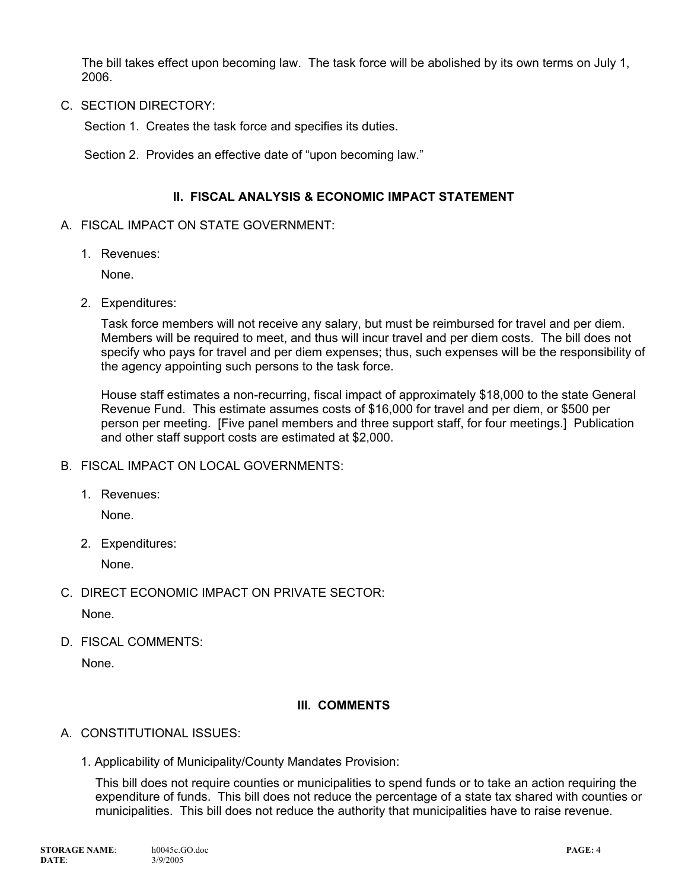The bill takes effect upon becoming law. The task force will be abolished by its own terms on July 1, 2006.

C. SECTION DIRECTORY:

Section 1. Creates the task force and specifies its duties.

Section 2. Provides an effective date of "upon becoming law."

#### **II. FISCAL ANALYSIS & ECONOMIC IMPACT STATEMENT**

#### A. FISCAL IMPACT ON STATE GOVERNMENT:

1. Revenues:

None.

2. Expenditures:

Task force members will not receive any salary, but must be reimbursed for travel and per diem. Members will be required to meet, and thus will incur travel and per diem costs. The bill does not specify who pays for travel and per diem expenses; thus, such expenses will be the responsibility of the agency appointing such persons to the task force.

House staff estimates a non-recurring, fiscal impact of approximately \$18,000 to the state General Revenue Fund. This estimate assumes costs of \$16,000 for travel and per diem, or \$500 per person per meeting. [Five panel members and three support staff, for four meetings.] Publication and other staff support costs are estimated at \$2,000.

- B. FISCAL IMPACT ON LOCAL GOVERNMENTS:
	- 1. Revenues:

None.

2. Expenditures:

None.

C. DIRECT ECONOMIC IMPACT ON PRIVATE SECTOR:

None.

D. FISCAL COMMENTS:

None.

#### **III. COMMENTS**

- A. CONSTITUTIONAL ISSUES:
	- 1. Applicability of Municipality/County Mandates Provision:

This bill does not require counties or municipalities to spend funds or to take an action requiring the expenditure of funds. This bill does not reduce the percentage of a state tax shared with counties or municipalities. This bill does not reduce the authority that municipalities have to raise revenue.